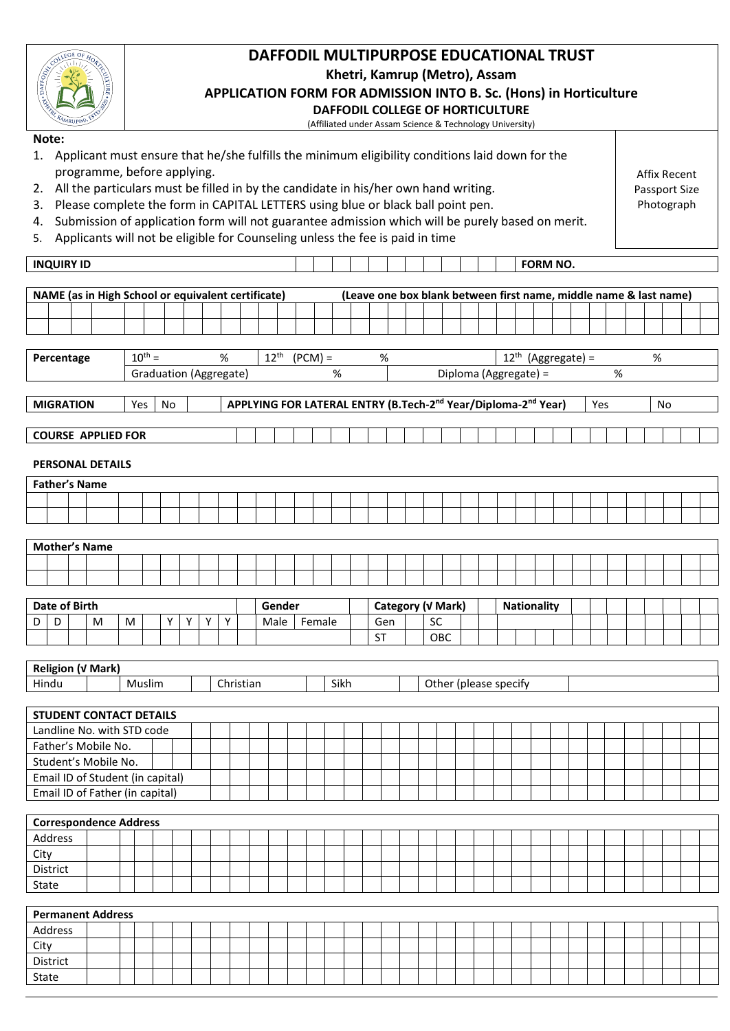| DAFFODIL MULTIPURPOSE EDUCATIONAL TRUST<br>Khetri, Kamrup (Metro), Assam<br>APPLICATION FORM FOR ADMISSION INTO B. Sc. (Hons) in Horticulture<br><b>DAFFODIL COLLEGE OF HORTICULTURE</b><br>(Affiliated under Assam Science & Technology University)                                                                                                                                                                                                                                                                        |  |   |     |             |    |  |                        |  |   |           |                  |                                                    |           |                                                                                       |           |                   |     |                       |  |                    |  |                      |     |  |  |      |    |  |  |  |
|-----------------------------------------------------------------------------------------------------------------------------------------------------------------------------------------------------------------------------------------------------------------------------------------------------------------------------------------------------------------------------------------------------------------------------------------------------------------------------------------------------------------------------|--|---|-----|-------------|----|--|------------------------|--|---|-----------|------------------|----------------------------------------------------|-----------|---------------------------------------------------------------------------------------|-----------|-------------------|-----|-----------------------|--|--------------------|--|----------------------|-----|--|--|------|----|--|--|--|
| Note:<br>1. Applicant must ensure that he/she fulfills the minimum eligibility conditions laid down for the<br>programme, before applying.<br>2. All the particulars must be filled in by the candidate in his/her own hand writing.<br>3. Please complete the form in CAPITAL LETTERS using blue or black ball point pen.<br>Submission of application form will not guarantee admission which will be purely based on merit.<br>4.<br>Applicants will not be eligible for Counseling unless the fee is paid in time<br>5. |  |   |     |             |    |  |                        |  |   |           |                  | <b>Affix Recent</b><br>Passport Size<br>Photograph |           |                                                                                       |           |                   |     |                       |  |                    |  |                      |     |  |  |      |    |  |  |  |
| <b>INQUIRY ID</b><br><b>FORM NO.</b>                                                                                                                                                                                                                                                                                                                                                                                                                                                                                        |  |   |     |             |    |  |                        |  |   |           |                  |                                                    |           |                                                                                       |           |                   |     |                       |  |                    |  |                      |     |  |  |      |    |  |  |  |
|                                                                                                                                                                                                                                                                                                                                                                                                                                                                                                                             |  |   |     |             |    |  |                        |  |   |           |                  |                                                    |           |                                                                                       |           |                   |     |                       |  |                    |  |                      |     |  |  |      |    |  |  |  |
| NAME (as in High School or equivalent certificate)<br>(Leave one box blank between first name, middle name & last name)                                                                                                                                                                                                                                                                                                                                                                                                     |  |   |     |             |    |  |                        |  |   |           |                  |                                                    |           |                                                                                       |           |                   |     |                       |  |                    |  |                      |     |  |  |      |    |  |  |  |
|                                                                                                                                                                                                                                                                                                                                                                                                                                                                                                                             |  |   |     |             |    |  |                        |  |   |           |                  |                                                    |           |                                                                                       |           |                   |     |                       |  |                    |  |                      |     |  |  |      |    |  |  |  |
|                                                                                                                                                                                                                                                                                                                                                                                                                                                                                                                             |  |   |     |             |    |  |                        |  |   |           |                  |                                                    |           |                                                                                       |           |                   |     |                       |  |                    |  |                      |     |  |  |      |    |  |  |  |
| Percentage                                                                                                                                                                                                                                                                                                                                                                                                                                                                                                                  |  |   |     | $10^{th} =$ |    |  |                        |  | % |           | $12^{\text{th}}$ |                                                    | $(PCM) =$ |                                                                                       | %         |                   |     |                       |  |                    |  | $12th$ (Aggregate) = |     |  |  | $\%$ |    |  |  |  |
|                                                                                                                                                                                                                                                                                                                                                                                                                                                                                                                             |  |   |     |             |    |  | Graduation (Aggregate) |  |   |           |                  |                                                    |           | %                                                                                     |           |                   |     | Diploma (Aggregate) = |  |                    |  |                      | %   |  |  |      |    |  |  |  |
| <b>MIGRATION</b>                                                                                                                                                                                                                                                                                                                                                                                                                                                                                                            |  |   |     |             |    |  |                        |  |   |           |                  |                                                    |           | APPLYING FOR LATERAL ENTRY (B.Tech-2 <sup>nd</sup> Year/Diploma-2 <sup>nd</sup> Year) |           |                   |     |                       |  |                    |  |                      |     |  |  |      |    |  |  |  |
|                                                                                                                                                                                                                                                                                                                                                                                                                                                                                                                             |  |   | Yes |             | No |  |                        |  |   |           |                  |                                                    |           |                                                                                       |           |                   |     |                       |  |                    |  |                      | Yes |  |  |      | No |  |  |  |
| <b>COURSE APPLIED FOR</b>                                                                                                                                                                                                                                                                                                                                                                                                                                                                                                   |  |   |     |             |    |  |                        |  |   |           |                  |                                                    |           |                                                                                       |           |                   |     |                       |  |                    |  |                      |     |  |  |      |    |  |  |  |
| <b>PERSONAL DETAILS</b>                                                                                                                                                                                                                                                                                                                                                                                                                                                                                                     |  |   |     |             |    |  |                        |  |   |           |                  |                                                    |           |                                                                                       |           |                   |     |                       |  |                    |  |                      |     |  |  |      |    |  |  |  |
| <b>Father's Name</b>                                                                                                                                                                                                                                                                                                                                                                                                                                                                                                        |  |   |     |             |    |  |                        |  |   |           |                  |                                                    |           |                                                                                       |           |                   |     |                       |  |                    |  |                      |     |  |  |      |    |  |  |  |
|                                                                                                                                                                                                                                                                                                                                                                                                                                                                                                                             |  |   |     |             |    |  |                        |  |   |           |                  |                                                    |           |                                                                                       |           |                   |     |                       |  |                    |  |                      |     |  |  |      |    |  |  |  |
|                                                                                                                                                                                                                                                                                                                                                                                                                                                                                                                             |  |   |     |             |    |  |                        |  |   |           |                  |                                                    |           |                                                                                       |           |                   |     |                       |  |                    |  |                      |     |  |  |      |    |  |  |  |
|                                                                                                                                                                                                                                                                                                                                                                                                                                                                                                                             |  |   |     |             |    |  |                        |  |   |           |                  |                                                    |           |                                                                                       |           |                   |     |                       |  |                    |  |                      |     |  |  |      |    |  |  |  |
| <b>Mother's Name</b>                                                                                                                                                                                                                                                                                                                                                                                                                                                                                                        |  |   |     |             |    |  |                        |  |   |           |                  |                                                    |           |                                                                                       |           |                   |     |                       |  |                    |  |                      |     |  |  |      |    |  |  |  |
|                                                                                                                                                                                                                                                                                                                                                                                                                                                                                                                             |  |   |     |             |    |  |                        |  |   |           |                  |                                                    |           |                                                                                       |           |                   |     |                       |  |                    |  |                      |     |  |  |      |    |  |  |  |
|                                                                                                                                                                                                                                                                                                                                                                                                                                                                                                                             |  |   |     |             |    |  |                        |  |   |           |                  |                                                    |           |                                                                                       |           |                   |     |                       |  |                    |  |                      |     |  |  |      |    |  |  |  |
| <b>Date of Birth</b>                                                                                                                                                                                                                                                                                                                                                                                                                                                                                                        |  |   |     |             |    |  |                        |  |   |           |                  | Gender                                             |           |                                                                                       |           | Category (V Mark) |     |                       |  | <b>Nationality</b> |  |                      |     |  |  |      |    |  |  |  |
| D<br>D                                                                                                                                                                                                                                                                                                                                                                                                                                                                                                                      |  | м | М   |             | Υ  |  | Υ<br>Υ                 |  | Y |           | Male             |                                                    | Female    |                                                                                       | Gen       |                   | SC  |                       |  |                    |  |                      |     |  |  |      |    |  |  |  |
|                                                                                                                                                                                                                                                                                                                                                                                                                                                                                                                             |  |   |     |             |    |  |                        |  |   |           |                  |                                                    |           |                                                                                       | <b>ST</b> |                   | OBC |                       |  |                    |  |                      |     |  |  |      |    |  |  |  |
| Religion (V Mark)                                                                                                                                                                                                                                                                                                                                                                                                                                                                                                           |  |   |     |             |    |  |                        |  |   |           |                  |                                                    |           |                                                                                       |           |                   |     |                       |  |                    |  |                      |     |  |  |      |    |  |  |  |
| Hindu                                                                                                                                                                                                                                                                                                                                                                                                                                                                                                                       |  |   |     | Muslim      |    |  |                        |  |   | Christian |                  |                                                    |           | Sikh                                                                                  |           |                   |     | Other (please specify |  |                    |  |                      |     |  |  |      |    |  |  |  |
|                                                                                                                                                                                                                                                                                                                                                                                                                                                                                                                             |  |   |     |             |    |  |                        |  |   |           |                  |                                                    |           |                                                                                       |           |                   |     |                       |  |                    |  |                      |     |  |  |      |    |  |  |  |
| <b>STUDENT CONTACT DETAILS</b>                                                                                                                                                                                                                                                                                                                                                                                                                                                                                              |  |   |     |             |    |  |                        |  |   |           |                  |                                                    |           |                                                                                       |           |                   |     |                       |  |                    |  |                      |     |  |  |      |    |  |  |  |
| Landline No. with STD code                                                                                                                                                                                                                                                                                                                                                                                                                                                                                                  |  |   |     |             |    |  |                        |  |   |           |                  |                                                    |           |                                                                                       |           |                   |     |                       |  |                    |  |                      |     |  |  |      |    |  |  |  |
| Father's Mobile No.                                                                                                                                                                                                                                                                                                                                                                                                                                                                                                         |  |   |     |             |    |  |                        |  |   |           |                  |                                                    |           |                                                                                       |           |                   |     |                       |  |                    |  |                      |     |  |  |      |    |  |  |  |
| Student's Mobile No.                                                                                                                                                                                                                                                                                                                                                                                                                                                                                                        |  |   |     |             |    |  |                        |  |   |           |                  |                                                    |           |                                                                                       |           |                   |     |                       |  |                    |  |                      |     |  |  |      |    |  |  |  |
| Email ID of Student (in capital)                                                                                                                                                                                                                                                                                                                                                                                                                                                                                            |  |   |     |             |    |  |                        |  |   |           |                  |                                                    |           |                                                                                       |           |                   |     |                       |  |                    |  |                      |     |  |  |      |    |  |  |  |
| Email ID of Father (in capital)                                                                                                                                                                                                                                                                                                                                                                                                                                                                                             |  |   |     |             |    |  |                        |  |   |           |                  |                                                    |           |                                                                                       |           |                   |     |                       |  |                    |  |                      |     |  |  |      |    |  |  |  |
| <b>Correspondence Address</b>                                                                                                                                                                                                                                                                                                                                                                                                                                                                                               |  |   |     |             |    |  |                        |  |   |           |                  |                                                    |           |                                                                                       |           |                   |     |                       |  |                    |  |                      |     |  |  |      |    |  |  |  |
| Address                                                                                                                                                                                                                                                                                                                                                                                                                                                                                                                     |  |   |     |             |    |  |                        |  |   |           |                  |                                                    |           |                                                                                       |           |                   |     |                       |  |                    |  |                      |     |  |  |      |    |  |  |  |
| City                                                                                                                                                                                                                                                                                                                                                                                                                                                                                                                        |  |   |     |             |    |  |                        |  |   |           |                  |                                                    |           |                                                                                       |           |                   |     |                       |  |                    |  |                      |     |  |  |      |    |  |  |  |
| District                                                                                                                                                                                                                                                                                                                                                                                                                                                                                                                    |  |   |     |             |    |  |                        |  |   |           |                  |                                                    |           |                                                                                       |           |                   |     |                       |  |                    |  |                      |     |  |  |      |    |  |  |  |
| State                                                                                                                                                                                                                                                                                                                                                                                                                                                                                                                       |  |   |     |             |    |  |                        |  |   |           |                  |                                                    |           |                                                                                       |           |                   |     |                       |  |                    |  |                      |     |  |  |      |    |  |  |  |
| <b>Permanent Address</b>                                                                                                                                                                                                                                                                                                                                                                                                                                                                                                    |  |   |     |             |    |  |                        |  |   |           |                  |                                                    |           |                                                                                       |           |                   |     |                       |  |                    |  |                      |     |  |  |      |    |  |  |  |
| Address                                                                                                                                                                                                                                                                                                                                                                                                                                                                                                                     |  |   |     |             |    |  |                        |  |   |           |                  |                                                    |           |                                                                                       |           |                   |     |                       |  |                    |  |                      |     |  |  |      |    |  |  |  |
| City                                                                                                                                                                                                                                                                                                                                                                                                                                                                                                                        |  |   |     |             |    |  |                        |  |   |           |                  |                                                    |           |                                                                                       |           |                   |     |                       |  |                    |  |                      |     |  |  |      |    |  |  |  |
| District                                                                                                                                                                                                                                                                                                                                                                                                                                                                                                                    |  |   |     |             |    |  |                        |  |   |           |                  |                                                    |           |                                                                                       |           |                   |     |                       |  |                    |  |                      |     |  |  |      |    |  |  |  |

State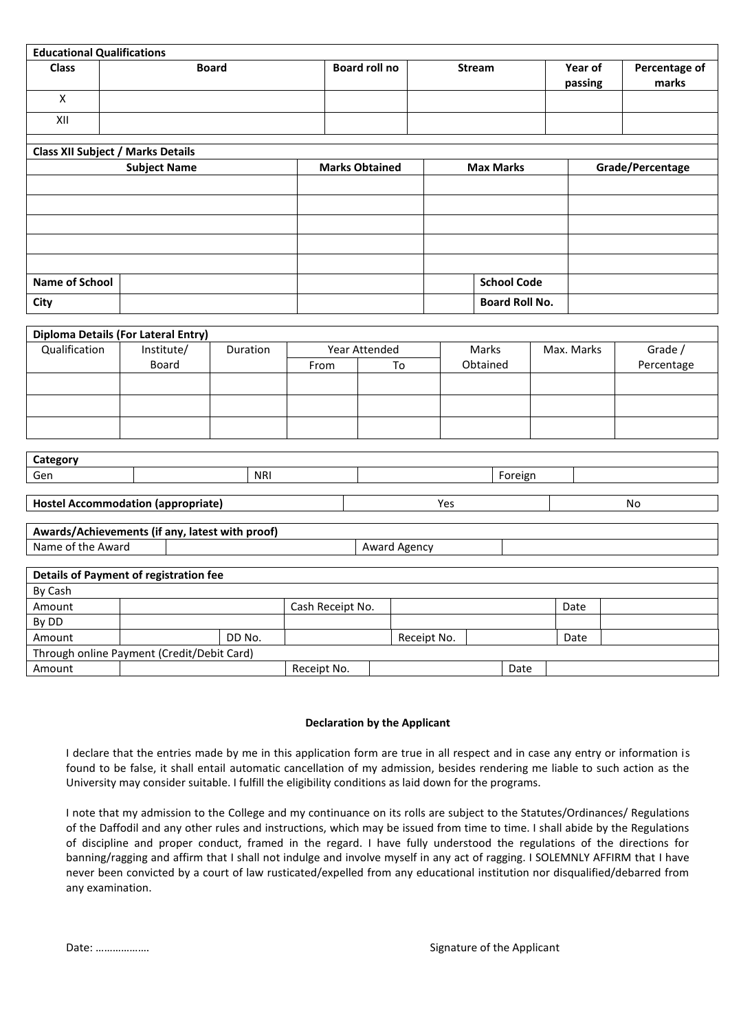| <b>Educational Qualifications</b>               |                            |              |      |                       |     |                       |  |                  |                        |  |  |
|-------------------------------------------------|----------------------------|--------------|------|-----------------------|-----|-----------------------|--|------------------|------------------------|--|--|
| <b>Class</b>                                    |                            | <b>Board</b> |      | <b>Board roll no</b>  |     | <b>Stream</b>         |  |                  | Percentage of<br>marks |  |  |
| X                                               |                            |              |      |                       |     |                       |  | passing          |                        |  |  |
| XII                                             |                            |              |      |                       |     |                       |  |                  |                        |  |  |
| <b>Class XII Subject / Marks Details</b>        |                            |              |      |                       |     |                       |  |                  |                        |  |  |
|                                                 | <b>Subject Name</b>        |              |      | <b>Marks Obtained</b> |     | <b>Max Marks</b>      |  | Grade/Percentage |                        |  |  |
|                                                 |                            |              |      |                       |     |                       |  |                  |                        |  |  |
|                                                 |                            |              |      |                       |     |                       |  |                  |                        |  |  |
|                                                 |                            |              |      |                       |     |                       |  |                  |                        |  |  |
|                                                 |                            |              |      |                       |     |                       |  |                  |                        |  |  |
| <b>Name of School</b>                           |                            |              |      |                       |     | <b>School Code</b>    |  |                  |                        |  |  |
| City                                            |                            |              |      |                       |     | <b>Board Roll No.</b> |  |                  |                        |  |  |
|                                                 |                            |              |      |                       |     |                       |  |                  |                        |  |  |
| Diploma Details (For Lateral Entry)             |                            |              |      |                       |     | Marks                 |  |                  |                        |  |  |
| Qualification                                   | Institute/<br><b>Board</b> | Duration     | From | Year Attended<br>To   |     | Obtained              |  | Max. Marks       | Grade /<br>Percentage  |  |  |
|                                                 |                            |              |      |                       |     |                       |  |                  |                        |  |  |
|                                                 |                            |              |      |                       |     |                       |  |                  |                        |  |  |
|                                                 |                            |              |      |                       |     |                       |  |                  |                        |  |  |
| Category                                        |                            |              |      |                       |     |                       |  |                  |                        |  |  |
| Gen                                             |                            | <b>NRI</b>   |      |                       |     | Foreign               |  |                  |                        |  |  |
|                                                 |                            |              |      |                       |     |                       |  |                  |                        |  |  |
| <b>Hostel Accommodation (appropriate)</b>       |                            |              |      |                       | Yes |                       |  |                  | No                     |  |  |
| Awards/Achievements (if any, latest with proof) |                            |              |      |                       |     |                       |  |                  |                        |  |  |
| Name of the Award                               |                            |              |      | Award Agency          |     |                       |  |                  |                        |  |  |
|                                                 |                            |              |      |                       |     |                       |  |                  |                        |  |  |

| Details of Payment of registration fee |                                            |        |                  |             |  |      |      |  |  |  |
|----------------------------------------|--------------------------------------------|--------|------------------|-------------|--|------|------|--|--|--|
| By Cash                                |                                            |        |                  |             |  |      |      |  |  |  |
| Amount                                 |                                            |        | Cash Receipt No. |             |  |      | Date |  |  |  |
| By DD                                  |                                            |        |                  |             |  |      |      |  |  |  |
| Amount                                 |                                            | DD No. |                  | Receipt No. |  |      | Date |  |  |  |
|                                        | Through online Payment (Credit/Debit Card) |        |                  |             |  |      |      |  |  |  |
| Amount                                 |                                            |        | Receipt No.      |             |  | Date |      |  |  |  |

### **Declaration by the Applicant**

I declare that the entries made by me in this application form are true in all respect and in case any entry or information is found to be false, it shall entail automatic cancellation of my admission, besides rendering me liable to such action as the University may consider suitable. I fulfill the eligibility conditions as laid down for the programs.

I note that my admission to the College and my continuance on its rolls are subject to the Statutes/Ordinances/ Regulations of the Daffodil and any other rules and instructions, which may be issued from time to time. I shall abide by the Regulations of discipline and proper conduct, framed in the regard. I have fully understood the regulations of the directions for banning/ragging and affirm that I shall not indulge and involve myself in any act of ragging. I SOLEMNLY AFFIRM that I have never been convicted by a court of law rusticated/expelled from any educational institution nor disqualified/debarred from any examination.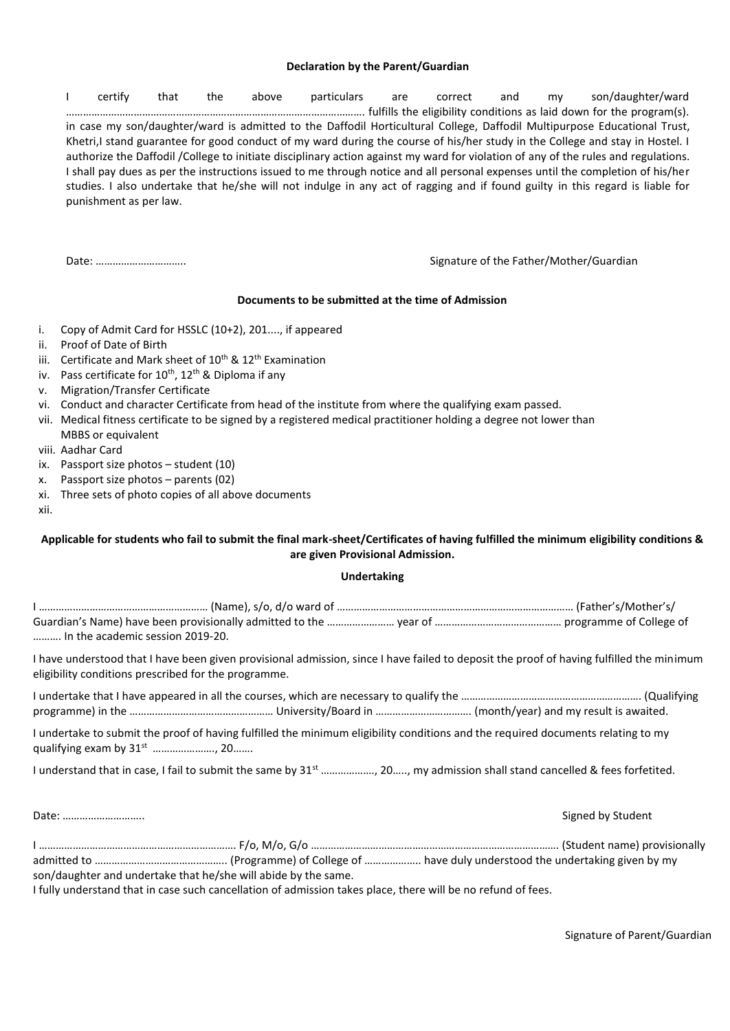### **Declaration by the Parent/Guardian**

I certify that the above particulars are correct and my son/daughter/ward ……………………………………………………………………………………………. fulfills the eligibility conditions as laid down for the program(s). in case my son/daughter/ward is admitted to the Daffodil Horticultural College, Daffodil Multipurpose Educational Trust, Khetri,I stand guarantee for good conduct of my ward during the course of his/her study in the College and stay in Hostel. I authorize the Daffodil /College to initiate disciplinary action against my ward for violation of any of the rules and regulations. I shall pay dues as per the instructions issued to me through notice and all personal expenses until the completion of his/her studies. I also undertake that he/she will not indulge in any act of ragging and if found guilty in this regard is liable for punishment as per law.

Date: ………………………….. Signature of the Father/Mother/Guardian

### **Documents to be submitted at the time of Admission**

- i. Copy of Admit Card for HSSLC (10+2), 201...., if appeared
- ii. Proof of Date of Birth
- iii. Certificate and Mark sheet of 10<sup>th</sup> & 12<sup>th</sup> Examination
- iv. Pass certificate for  $10^{th}$ ,  $12^{th}$  & Diploma if any
- v. Migration/Transfer Certificate
- vi. Conduct and character Certificate from head of the institute from where the qualifying exam passed.
- vii. Medical fitness certificate to be signed by a registered medical practitioner holding a degree not lower than MBBS or equivalent
- viii. Aadhar Card
- ix. Passport size photos student (10)
- x. Passport size photos parents (02)
- xi. Three sets of photo copies of all above documents
- xii.

# **Applicable for students who fail to submit the final mark-sheet/Certificates of having fulfilled the minimum eligibility conditions & are given Provisional Admission.**

#### **Undertaking**

| In the academic session 2019-20.                                                                                                                                                                 |  |
|--------------------------------------------------------------------------------------------------------------------------------------------------------------------------------------------------|--|
| I have understood that I have been given provisional admission, since I have failed to deposit the proof of having fulfilled the minimum<br>eligibility conditions prescribed for the programme. |  |
|                                                                                                                                                                                                  |  |
| I undertake to submit the proof of having fulfilled the minimum eligibility conditions and the required documents relating to my                                                                 |  |
|                                                                                                                                                                                                  |  |

| son/daughter and undertake that he/she will abide by the same. |  |
|----------------------------------------------------------------|--|

Date: ……………………….. Signed by Student

I fully understand that in case such cancellation of admission takes place, there will be no refund of fees.

Signature of Parent/Guardian